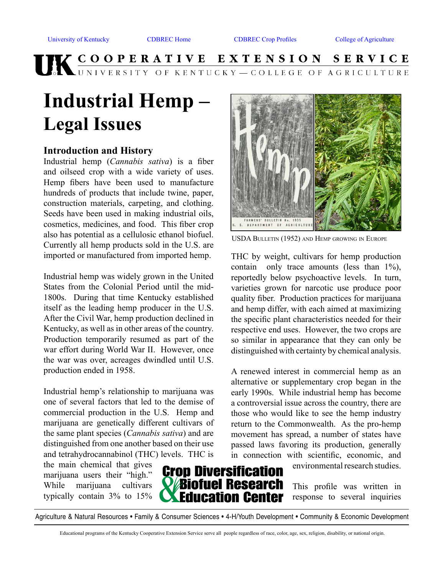# UK COOPERATIVE EXTENSION SERVICE

# **Industrial Hemp – Legal Issues**

#### **Introduction and History**

Industrial hemp (*Cannabis sativa*) is a fiber and oilseed crop with a wide variety of uses. Hemp fibers have been used to manufacture hundreds of products that include twine, paper, construction materials, carpeting, and clothing. Seeds have been used in making industrial oils, cosmetics, medicines, and food. This fiber crop also has potential as a cellulosic ethanol biofuel. Currently all hemp products sold in the U.S. are imported or manufactured from imported hemp.

Industrial hemp was widely grown in the United States from the Colonial Period until the mid-1800s. During that time Kentucky established itself as the leading hemp producer in the U.S. After the Civil War, hemp production declined in Kentucky, as well as in other areas of the country. Production temporarily resumed as part of the war effort during World War II. However, once the war was over, acreages dwindled until U.S. production ended in 1958.

Industrial hemp's relationship to marijuana was one of several factors that led to the demise of commercial production in the U.S. Hemp and marijuana are genetically different cultivars of the same plant species (*Cannabis sativa*) and are distinguished from one another based on their use and tetrahydrocannabinol (THC) levels. THC is

the main chemical that gives marijuana users their "high." While marijuana cultivars typically contain 3% to 15%



environmental research studies.

This profile was written in response to several inquiries

Agriculture & Natural Resources • Family & Consumer Sciences • 4-H/Youth Development • Community & Economic Development

Educational programs of the Kentucky Cooperative Extension Service serve all people regardless of race, color, age, sex, religion, disability, or national origin.



USDA Bulletin (1952) and Hemp growing in Europe

THC by weight, cultivars for hemp production contain only trace amounts (less than 1%), reportedly below psychoactive levels. In turn, varieties grown for narcotic use produce poor quality fiber. Production practices for marijuana and hemp differ, with each aimed at maximizing the specific plant characteristics needed for their respective end uses. However, the two crops are so similar in appearance that they can only be distinguished with certainty by chemical analysis.

A renewed interest in commercial hemp as an alternative or supplementary crop began in the early 1990s. While industrial hemp has become a controversial issue across the country, there are those who would like to see the hemp industry return to the Commonwealth. As the pro-hemp movement has spread, a number of states have passed laws favoring its production, generally in connection with scientific, economic, and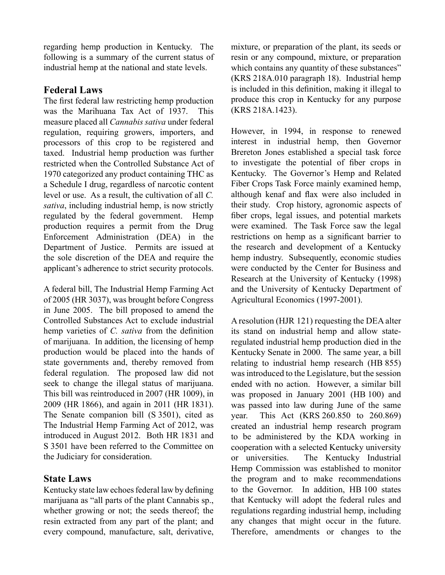regarding hemp production in Kentucky. The following is a summary of the current status of industrial hemp at the national and state levels.

#### **Federal Laws**

The first federal law restricting hemp production was the Marihuana Tax Act of 1937. This measure placed all *Cannabis sativa* under federal regulation, requiring growers, importers, and processors of this crop to be registered and taxed. Industrial hemp production was further restricted when the Controlled Substance Act of 1970 categorized any product containing THC as a Schedule I drug, regardless of narcotic content level or use. As a result, the cultivation of all *C. sativa*, including industrial hemp, is now strictly regulated by the federal government. Hemp production requires a permit from the Drug Enforcement Administration (DEA) in the Department of Justice. Permits are issued at the sole discretion of the DEA and require the applicant's adherence to strict security protocols.

A federal bill, The Industrial Hemp Farming Act of 2005 (HR 3037), was brought before Congress in June 2005. The bill proposed to amend the Controlled Substances Act to exclude industrial hemp varieties of *C. sativa* from the definition of marijuana. In addition, the licensing of hemp production would be placed into the hands of state governments and, thereby removed from federal regulation. The proposed law did not seek to change the illegal status of marijuana. This bill was reintroduced in 2007 (HR 1009), in 2009 (HR 1866), and again in 2011 (HR 1831). The Senate companion bill (S 3501), cited as The Industrial Hemp Farming Act of 2012, was introduced in August 2012. Both HR 1831 and S 3501 have been referred to the Committee on the Judiciary for consideration.

#### **State Laws**

Kentucky state law echoes federal law by defining marijuana as "all parts of the plant Cannabis sp., whether growing or not; the seeds thereof; the resin extracted from any part of the plant; and every compound, manufacture, salt, derivative,

mixture, or preparation of the plant, its seeds or resin or any compound, mixture, or preparation which contains any quantity of these substances" (KRS 218A.010 paragraph 18). Industrial hemp is included in this definition, making it illegal to produce this crop in Kentucky for any purpose (KRS 218A.1423).

However, in 1994, in response to renewed interest in industrial hemp, then Governor Brereton Jones established a special task force to investigate the potential of fiber crops in Kentucky. The Governor's Hemp and Related Fiber Crops Task Force mainly examined hemp, although kenaf and flax were also included in their study. Crop history, agronomic aspects of fiber crops, legal issues, and potential markets were examined. The Task Force saw the legal restrictions on hemp as a significant barrier to the research and development of a Kentucky hemp industry. Subsequently, economic studies were conducted by the Center for Business and Research at the University of Kentucky (1998) and the University of Kentucky Department of Agricultural Economics (1997-2001).

A resolution (HJR 121) requesting the DEA alter its stand on industrial hemp and allow stateregulated industrial hemp production died in the Kentucky Senate in 2000. The same year, a bill relating to industrial hemp research (HB 855) was introduced to the Legislature, but the session ended with no action. However, a similar bill was proposed in January 2001 (HB 100) and was passed into law during June of the same year. This Act (KRS 260.850 to 260.869) created an industrial hemp research program to be administered by the KDA working in cooperation with a selected Kentucky university or universities. The Kentucky Industrial Hemp Commission was established to monitor the program and to make recommendations to the Governor. In addition, HB 100 states that Kentucky will adopt the federal rules and regulations regarding industrial hemp, including any changes that might occur in the future. Therefore, amendments or changes to the